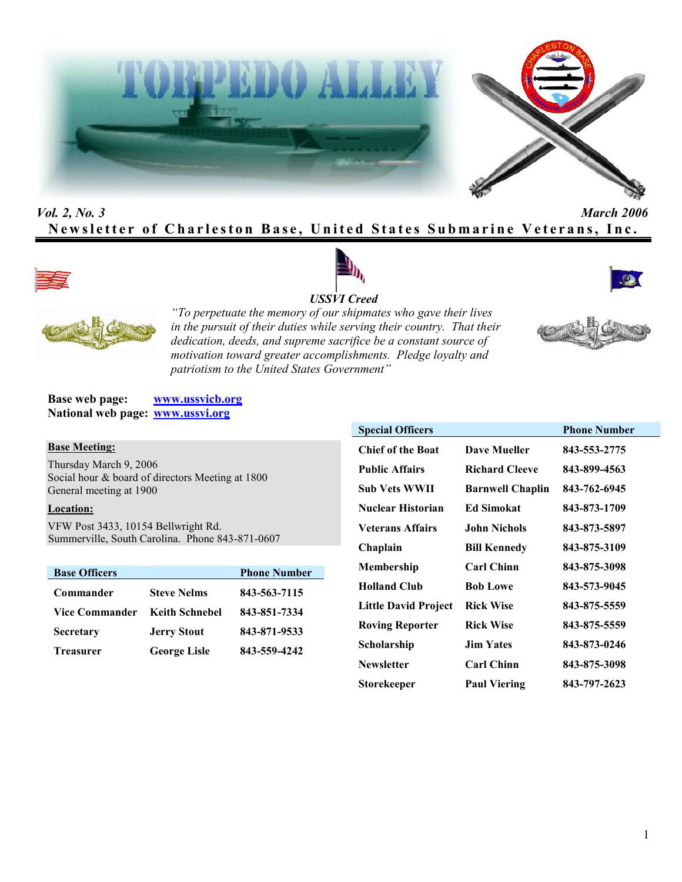



# *Vol. 2, No. 3 March 2006* **Newsletter of Charleston Base, United States Submarine Veterans, Inc.**









*"To perpetuate the memory of our shipmates who gave their lives in the pursuit of their duties while serving their country. That their dedication, deeds, and supreme sacrifice be a constant source of motivation toward greater accomplishments. Pledge loyalty and patriotism to the United States Government"*

**Base web page: www.ussvicb.org National web page: www.ussvi.org**

#### **Base Meeting:**

Thursday March 9, 2006 Social hour & board of directors Meeting at 1800 General meeting at 1900

### **Location:**

VFW Post 3433, 10154 Bellwright Rd. Summerville, South Carolina. Phone 843-871-0607

| <b>Base Officers</b>  |                       | <b>Phone Number</b> |
|-----------------------|-----------------------|---------------------|
| Commander             | <b>Steve Nelms</b>    | 843-563-7115        |
| <b>Vice Commander</b> | <b>Keith Schnebel</b> | 843-851-7334        |
| <b>Secretary</b>      | <b>Jerry Stout</b>    | 843-871-9533        |
| <b>Treasurer</b>      | <b>George Lisle</b>   | 843-559-4242        |

| <b>Special Officers</b>     |                         | <b>Phone Number</b> |
|-----------------------------|-------------------------|---------------------|
| <b>Chief of the Boat</b>    | <b>Dave Mueller</b>     | 843-553-2775        |
| <b>Public Affairs</b>       | <b>Richard Cleeve</b>   | 843-899-4563        |
| Sub Vets WWII               | <b>Barnwell Chaplin</b> | 843-762-6945        |
| <b>Nuclear Historian</b>    | <b>Ed Simokat</b>       | 843-873-1709        |
| <b>Veterans Affairs</b>     | <b>John Nichols</b>     | 843-873-5897        |
| Chaplain                    | <b>Bill Kennedy</b>     | 843-875-3109        |
| Membership                  | <b>Carl Chinn</b>       | 843-875-3098        |
| <b>Holland Club</b>         | <b>Bob Lowe</b>         | 843-573-9045        |
| <b>Little David Project</b> | <b>Rick Wise</b>        | 843-875-5559        |
| <b>Roving Reporter</b>      | <b>Rick Wise</b>        | 843-875-5559        |
| Scholarship                 | <b>Jim Yates</b>        | 843-873-0246        |
| <b>Newsletter</b>           | <b>Carl Chinn</b>       | 843-875-3098        |
| Storekeeper                 | <b>Paul Viering</b>     | 843-797-2623        |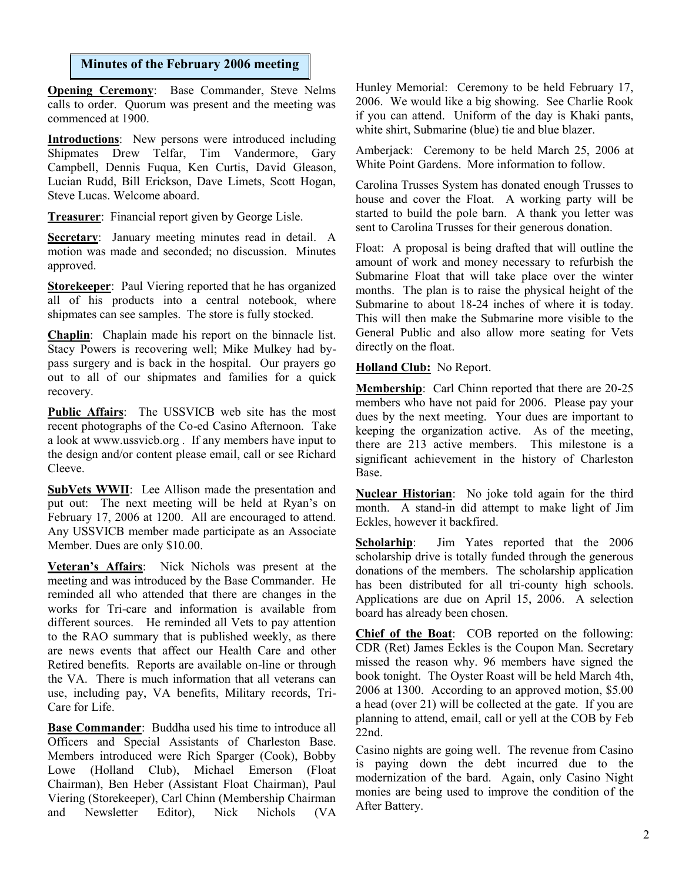### **Minutes of the February 2006 meeting**

**Opening Ceremony**: Base Commander, Steve Nelms calls to order. Quorum was present and the meeting was commenced at 1900.

**Introductions**: New persons were introduced including Shipmates Drew Telfar, Tim Vandermore, Gary Campbell, Dennis Fuqua, Ken Curtis, David Gleason, Lucian Rudd, Bill Erickson, Dave Limets, Scott Hogan, Steve Lucas. Welcome aboard.

**Treasurer**: Financial report given by George Lisle.

**Secretary**: January meeting minutes read in detail. A motion was made and seconded; no discussion. Minutes approved.

**Storekeeper**: Paul Viering reported that he has organized all of his products into a central notebook, where shipmates can see samples. The store is fully stocked.

**Chaplin**: Chaplain made his report on the binnacle list. Stacy Powers is recovering well; Mike Mulkey had bypass surgery and is back in the hospital. Our prayers go out to all of our shipmates and families for a quick recovery.

**Public Affairs**: The USSVICB web site has the most recent photographs of the Co-ed Casino Afternoon. Take a look at www.ussvicb.org . If any members have input to the design and/or content please email, call or see Richard Cleeve.

**SubVets WWII**: Lee Allison made the presentation and put out: The next meeting will be held at Ryan's on February 17, 2006 at 1200. All are encouraged to attend. Any USSVICB member made participate as an Associate Member. Dues are only \$10.00.

**Veteran's Affairs**: Nick Nichols was present at the meeting and was introduced by the Base Commander. He reminded all who attended that there are changes in the works for Tri-care and information is available from different sources. He reminded all Vets to pay attention to the RAO summary that is published weekly, as there are news events that affect our Health Care and other Retired benefits. Reports are available on-line or through the VA. There is much information that all veterans can use, including pay, VA benefits, Military records, Tri-Care for Life.

**Base Commander**: Buddha used his time to introduce all Officers and Special Assistants of Charleston Base. Members introduced were Rich Sparger (Cook), Bobby Lowe (Holland Club), Michael Emerson (Float Chairman), Ben Heber (Assistant Float Chairman), Paul Viering (Storekeeper), Carl Chinn (Membership Chairman and Newsletter Editor), Nick Nichols (VA Hunley Memorial: Ceremony to be held February 17, 2006. We would like a big showing. See Charlie Rook if you can attend. Uniform of the day is Khaki pants, white shirt, Submarine (blue) tie and blue blazer.

Amberjack: Ceremony to be held March 25, 2006 at White Point Gardens. More information to follow.

Carolina Trusses System has donated enough Trusses to house and cover the Float. A working party will be started to build the pole barn. A thank you letter was sent to Carolina Trusses for their generous donation.

Float: A proposal is being drafted that will outline the amount of work and money necessary to refurbish the Submarine Float that will take place over the winter months. The plan is to raise the physical height of the Submarine to about 18-24 inches of where it is today. This will then make the Submarine more visible to the General Public and also allow more seating for Vets directly on the float.

**Holland Club:** No Report.

**Membership**: Carl Chinn reported that there are 20-25 members who have not paid for 2006. Please pay your dues by the next meeting. Your dues are important to keeping the organization active. As of the meeting, there are 213 active members. This milestone is a significant achievement in the history of Charleston Base.

**Nuclear Historian**: No joke told again for the third month. A stand-in did attempt to make light of Jim Eckles, however it backfired.

**Scholarhip**: Jim Yates reported that the 2006 scholarship drive is totally funded through the generous donations of the members. The scholarship application has been distributed for all tri-county high schools. Applications are due on April 15, 2006. A selection board has already been chosen.

**Chief of the Boat**: COB reported on the following: CDR (Ret) James Eckles is the Coupon Man. Secretary missed the reason why. 96 members have signed the book tonight. The Oyster Roast will be held March 4th, 2006 at 1300. According to an approved motion, \$5.00 a head (over 21) will be collected at the gate. If you are planning to attend, email, call or yell at the COB by Feb 22nd.

Casino nights are going well. The revenue from Casino is paying down the debt incurred due to the modernization of the bard. Again, only Casino Night monies are being used to improve the condition of the After Battery.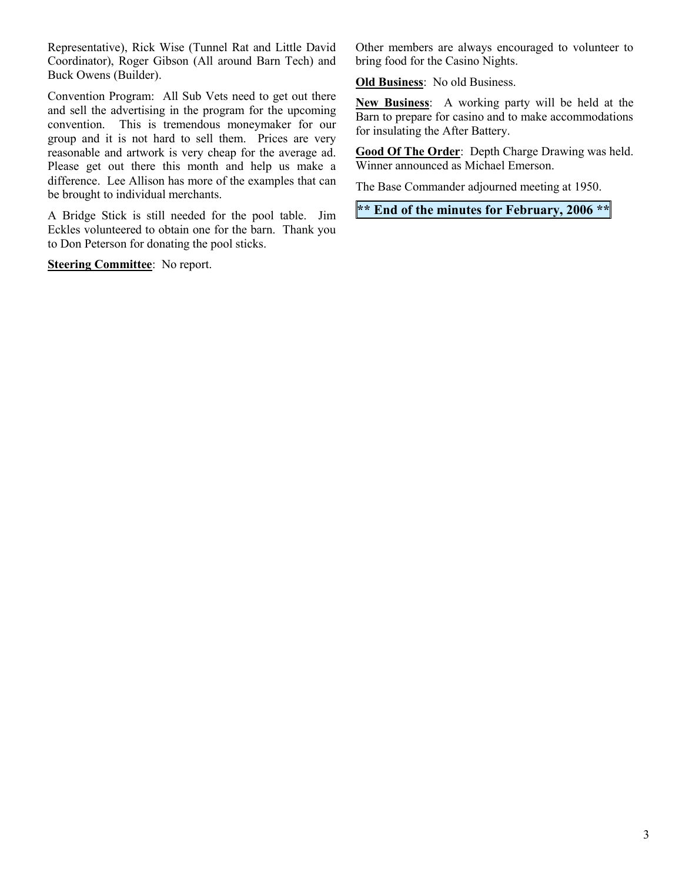Representative), Rick Wise (Tunnel Rat and Little David Coordinator), Roger Gibson (All around Barn Tech) and Buck Owens (Builder).

Convention Program: All Sub Vets need to get out there and sell the advertising in the program for the upcoming convention. This is tremendous moneymaker for our group and it is not hard to sell them. Prices are very reasonable and artwork is very cheap for the average ad. Please get out there this month and help us make a difference. Lee Allison has more of the examples that can be brought to individual merchants.

A Bridge Stick is still needed for the pool table. Jim Eckles volunteered to obtain one for the barn. Thank you to Don Peterson for donating the pool sticks.

**Steering Committee**: No report.

Other members are always encouraged to volunteer to bring food for the Casino Nights.

**Old Business**: No old Business.

**New Business**: A working party will be held at the Barn to prepare for casino and to make accommodations for insulating the After Battery.

**Good Of The Order**: Depth Charge Drawing was held. Winner announced as Michael Emerson.

The Base Commander adjourned meeting at 1950.

**\*\* End of the minutes for February, 2006 \*\***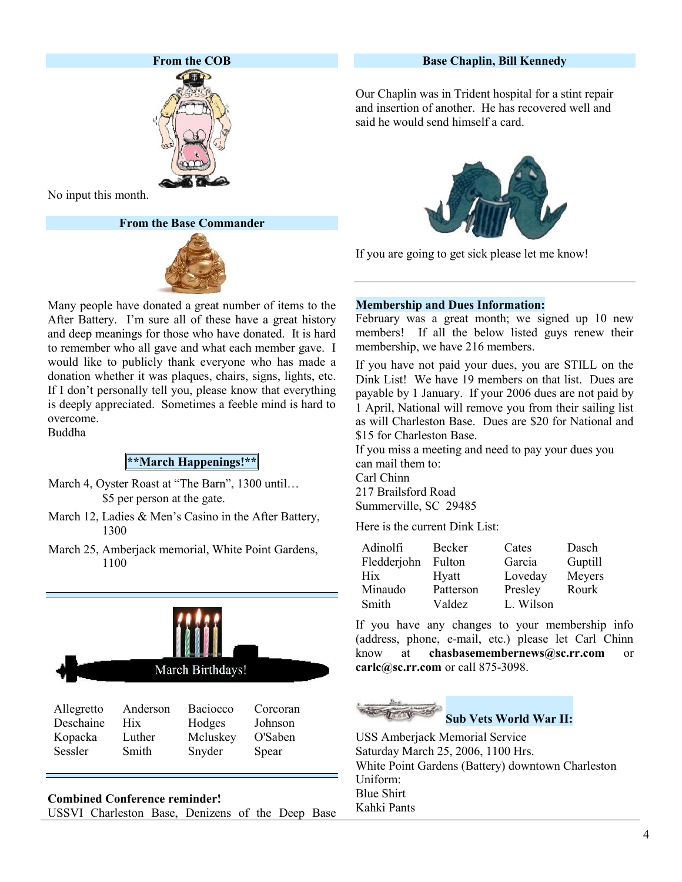

No input this month.

**From the Base Commander**



Many people have donated a great number of items to the After Battery. I'm sure all of these have a great history and deep meanings for those who have donated. It is hard to remember who all gave and what each member gave. I would like to publicly thank everyone who has made a donation whether it was plaques, chairs, signs, lights, etc. If I don't personally tell you, please know that everything is deeply appreciated. Sometimes a feeble mind is hard to overcome.

Buddha

## **\*\*March Happenings!\*\***

- March 4, Oyster Roast at "The Barn", 1300 until… \$5 per person at the gate.
- March 12, Ladies & Men's Casino in the After Battery, 1300
- March 25, Amberjack memorial, White Point Gardens, 1100



| Allegretto | Anderson   | <b>Baciocco</b> | Corcoran |
|------------|------------|-----------------|----------|
| Deschaine  | <b>Hix</b> | Hodges          | Johnson  |
| Kopacka    | Luther     | Mcluskey        | O'Saben  |
| Sessler    | Smith      | Snyder          | Spear    |

**Combined Conference reminder!** USSVI Charleston Base, Denizens of the Deep Base

### **Base Chaplin, Bill Kennedy**

Our Chaplin was in Trident hospital for a stint repair and insertion of another. He has recovered well and said he would send himself a card.



If you are going to get sick please let me know!

### **Membership and Dues Information:**

February was a great month; we signed up 10 new members! If all the below listed guys renew their membership, we have 216 members.

If you have not paid your dues, you are STILL on the Dink List! We have 19 members on that list. Dues are payable by 1 January. If your 2006 dues are not paid by 1 April, National will remove you from their sailing list as will Charleston Base. Dues are \$20 for National and \$15 for Charleston Base.

If you miss a meeting and need to pay your dues you can mail them to: Carl Chinn

217 Brailsford Road Summerville, SC 29485

Here is the current Dink List:

| Adinolfi    | Becker    | Cates     | Dasch   |
|-------------|-----------|-----------|---------|
| Fledderjohn | Fulton    | Garcia    | Guptill |
| Hix         | Hyatt     | Loveday   | Meyers  |
| Minaudo     | Patterson | Presley   | Rourk   |
| Smith       | Valdez    | L. Wilson |         |

If you have any changes to your membership info (address, phone, e-mail, etc.) please let Carl Chinn know at **chasbasemembernews@sc.rr.com** or **carlc@sc.rr.com** or call 875-3098.

**Sub Vets World War II:**

USS Amberjack Memorial Service Saturday March 25, 2006, 1100 Hrs. White Point Gardens (Battery) downtown Charleston Uniform: Blue Shirt Kahki Pants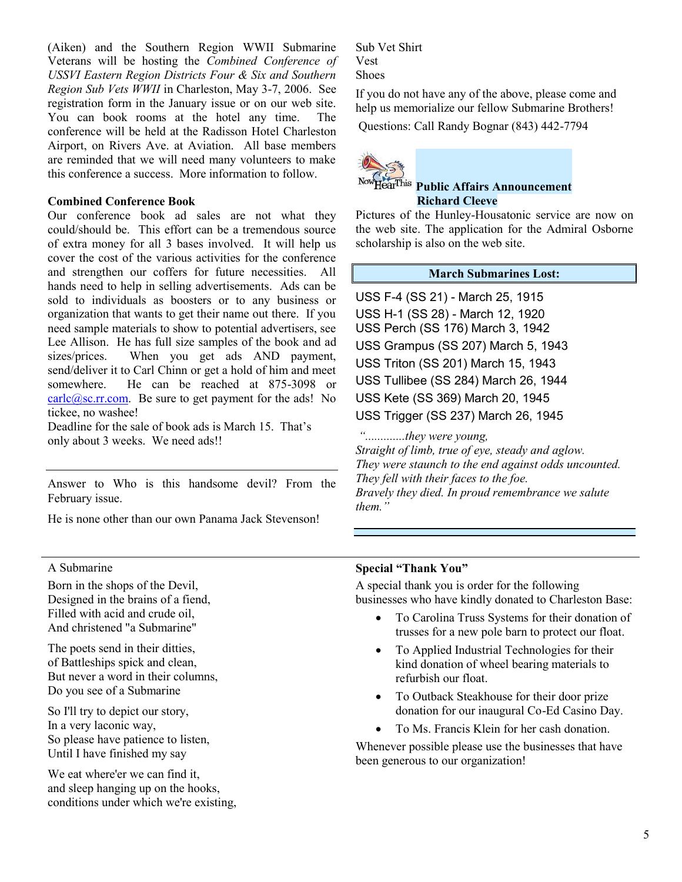(Aiken) and the Southern Region WWII Submarine Veterans will be hosting the *Combined Conference of USSVI Eastern Region Districts Four & Six and Southern Region Sub Vets WWII* in Charleston, May 3-7, 2006. See registration form in the January issue or on our web site. You can book rooms at the hotel any time. The conference will be held at the Radisson Hotel Charleston Airport, on Rivers Ave. at Aviation. All base members are reminded that we will need many volunteers to make this conference a success. More information to follow.

### **Combined Conference Book**

Our conference book ad sales are not what they could/should be. This effort can be a tremendous source of extra money for all 3 bases involved. It will help us cover the cost of the various activities for the conference and strengthen our coffers for future necessities. All hands need to help in selling advertisements. Ads can be sold to individuals as boosters or to any business or organization that wants to get their name out there. If you need sample materials to show to potential advertisers, see Lee Allison. He has full size samples of the book and ad sizes/prices. When you get ads AND payment, send/deliver it to Carl Chinn or get a hold of him and meet somewhere. He can be reached at 875-3098 or  $\frac{\text{carlc}(a)\text{sc.rr.com}}{ }$ . Be sure to get payment for the ads! No tickee, no washee!

Deadline for the sale of book ads is March 15. That's only about 3 weeks. We need ads!!

Answer to Who is this handsome devil? From the February issue.

He is none other than our own Panama Jack Stevenson!

Sub Vet Shirt Vest Shoes

If you do not have any of the above, please come and help us memorialize our fellow Submarine Brothers!

Questions: Call Randy Bognar (843) 442-7794



## **Public Affairs Announcement Richard Cleeve**

Pictures of the Hunley-Housatonic service are now on the web site. The application for the Admiral Osborne scholarship is also on the web site.

#### **March Submarines Lost:**

USS F-4 (SS 21) - March 25, 1915 USS H-1 (SS 28) - March 12, 1920 USS Perch (SS 176) March 3, 1942 USS Grampus (SS 207) March 5, 1943 USS Triton (SS 201) March 15, 1943 USS Tullibee (SS 284) March 26, 1944 USS Kete (SS 369) March 20, 1945 USS Trigger (SS 237) March 26, 1945

 *".............they were young, Straight of limb, true of eye, steady and aglow. They were staunch to the end against odds uncounted. They fell with their faces to the foe. Bravely they died. In proud remembrance we salute them."*

#### A Submarine

Born in the shops of the Devil, Designed in the brains of a fiend, Filled with acid and crude oil, And christened "a Submarine"

The poets send in their ditties, of Battleships spick and clean, But never a word in their columns, Do you see of a Submarine

So I'll try to depict our story, In a very laconic way, So please have patience to listen, Until I have finished my say

We eat where'er we can find it. and sleep hanging up on the hooks, conditions under which we're existing,

### **Special "Thank You"**

A special thank you is order for the following businesses who have kindly donated to Charleston Base:

- To Carolina Truss Systems for their donation of trusses for a new pole barn to protect our float.
- To Applied Industrial Technologies for their kind donation of wheel bearing materials to refurbish our float.
- To Outback Steakhouse for their door prize donation for our inaugural Co-Ed Casino Day.
- To Ms. Francis Klein for her cash donation.

Whenever possible please use the businesses that have been generous to our organization!